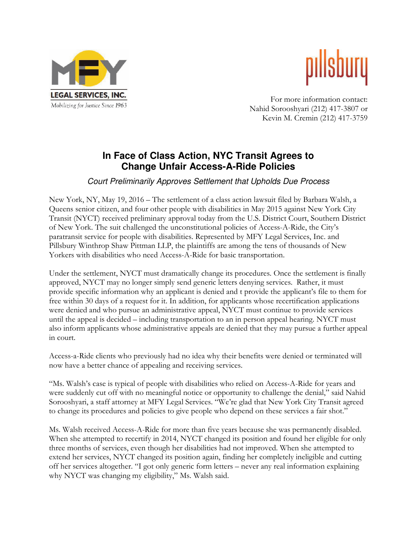



For more information contact: Nahid Sorooshyari (212) 417-3807 or Kevin M. Cremin (212) 417-3759

## **In Face of Class Action, NYC Transit Agrees to Change Unfair Access-A-Ride Policies**

## Court Preliminarily Approves Settlement that Upholds Due Process

New York, NY, May 19, 2016 – The settlement of a class action lawsuit filed by Barbara Walsh, a Queens senior citizen, and four other people with disabilities in May 2015 against New York City Transit (NYCT) received preliminary approval today from the U.S. District Court, Southern District of New York. The suit challenged the unconstitutional policies of Access-A-Ride, the City's paratransit service for people with disabilities. Represented by MFY Legal Services, Inc. and Pillsbury Winthrop Shaw Pittman LLP, the plaintiffs are among the tens of thousands of New Yorkers with disabilities who need Access-A-Ride for basic transportation.

Under the settlement, NYCT must dramatically change its procedures. Once the settlement is finally approved, NYCT may no longer simply send generic letters denying services. Rather, it must provide specific information why an applicant is denied and t provide the applicant's file to them for free within 30 days of a request for it. In addition, for applicants whose recertification applications were denied and who pursue an administrative appeal, NYCT must continue to provide services until the appeal is decided – including transportation to an in person appeal hearing. NYCT must also inform applicants whose administrative appeals are denied that they may pursue a further appeal in court.

Access-a-Ride clients who previously had no idea why their benefits were denied or terminated will now have a better chance of appealing and receiving services.

"Ms. Walsh's case is typical of people with disabilities who relied on Access-A-Ride for years and were suddenly cut off with no meaningful notice or opportunity to challenge the denial," said Nahid Sorooshyari, a staff attorney at MFY Legal Services. "We're glad that New York City Transit agreed to change its procedures and policies to give people who depend on these services a fair shot."

Ms. Walsh received Access-A-Ride for more than five years because she was permanently disabled. When she attempted to recertify in 2014, NYCT changed its position and found her eligible for only three months of services, even though her disabilities had not improved. When she attempted to extend her services, NYCT changed its position again, finding her completely ineligible and cutting off her services altogether. "I got only generic form letters – never any real information explaining why NYCT was changing my eligibility," Ms. Walsh said.